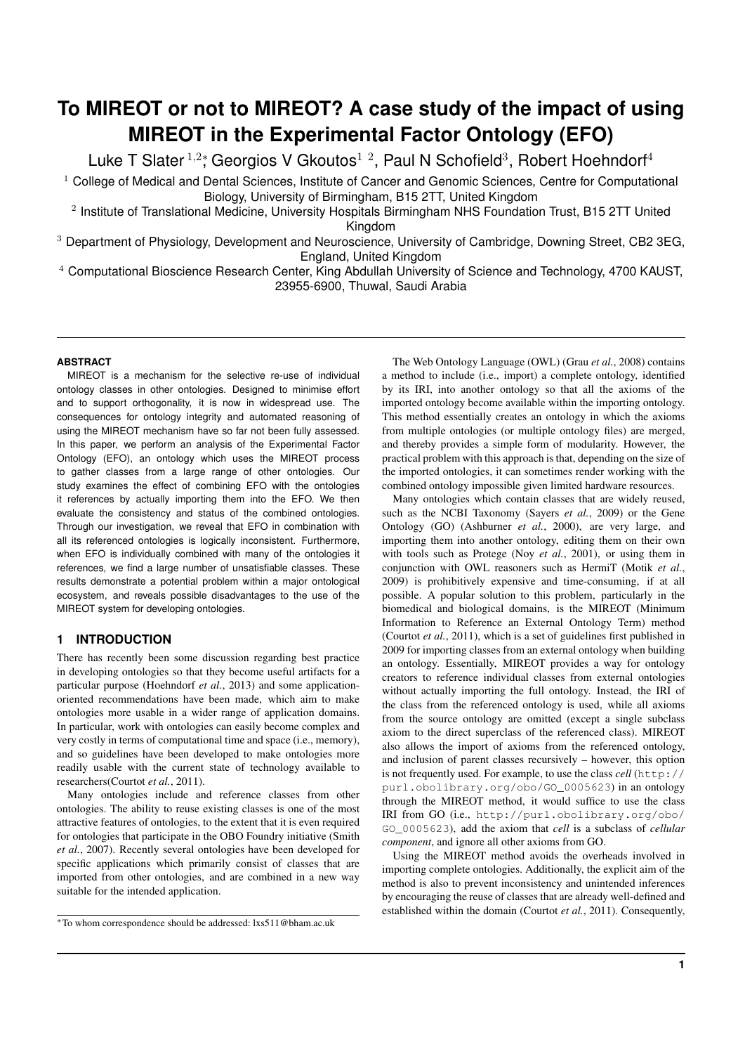# **To MIREOT or not to MIREOT? A case study of the impact of using MIREOT in the Experimental Factor Ontology (EFO)**

Luke T Slater  $^{1,2}$ ; Georgios V Gkoutos $^{1,2}$ , Paul N Schofield<sup>3</sup>, Robert Hoehndorf<sup>4</sup>

<sup>1</sup> College of Medical and Dental Sciences, Institute of Cancer and Genomic Sciences, Centre for Computational Biology, University of Birmingham, B15 2TT, United Kingdom

<sup>2</sup> Institute of Translational Medicine, University Hospitals Birmingham NHS Foundation Trust, B15 2TT United Kingdom

<sup>3</sup> Department of Physiology, Development and Neuroscience, University of Cambridge, Downing Street, CB2 3EG, England, United Kingdom

<sup>4</sup> Computational Bioscience Research Center, King Abdullah University of Science and Technology, 4700 KAUST, 23955-6900, Thuwal, Saudi Arabia

# **ABSTRACT**

MIREOT is a mechanism for the selective re-use of individual ontology classes in other ontologies. Designed to minimise effort and to support orthogonality, it is now in widespread use. The consequences for ontology integrity and automated reasoning of using the MIREOT mechanism have so far not been fully assessed. In this paper, we perform an analysis of the Experimental Factor Ontology (EFO), an ontology which uses the MIREOT process to gather classes from a large range of other ontologies. Our study examines the effect of combining EFO with the ontologies it references by actually importing them into the EFO. We then evaluate the consistency and status of the combined ontologies. Through our investigation, we reveal that EFO in combination with all its referenced ontologies is logically inconsistent. Furthermore, when EFO is individually combined with many of the ontologies it references, we find a large number of unsatisfiable classes. These results demonstrate a potential problem within a major ontological ecosystem, and reveals possible disadvantages to the use of the MIREOT system for developing ontologies.

# **1 INTRODUCTION**

There has recently been some discussion regarding best practice in developing ontologies so that they become useful artifacts for a particular purpose (Hoehndorf *et al.*, 2013) and some applicationoriented recommendations have been made, which aim to make ontologies more usable in a wider range of application domains. In particular, work with ontologies can easily become complex and very costly in terms of computational time and space (i.e., memory), and so guidelines have been developed to make ontologies more readily usable with the current state of technology available to researchers(Courtot *et al.*, 2011).

Many ontologies include and reference classes from other ontologies. The ability to reuse existing classes is one of the most attractive features of ontologies, to the extent that it is even required for ontologies that participate in the OBO Foundry initiative (Smith *et al.*, 2007). Recently several ontologies have been developed for specific applications which primarily consist of classes that are imported from other ontologies, and are combined in a new way suitable for the intended application.

The Web Ontology Language (OWL) (Grau *et al.*, 2008) contains a method to include (i.e., import) a complete ontology, identified by its IRI, into another ontology so that all the axioms of the imported ontology become available within the importing ontology. This method essentially creates an ontology in which the axioms from multiple ontologies (or multiple ontology files) are merged, and thereby provides a simple form of modularity. However, the practical problem with this approach is that, depending on the size of the imported ontologies, it can sometimes render working with the combined ontology impossible given limited hardware resources.

Many ontologies which contain classes that are widely reused, such as the NCBI Taxonomy (Sayers *et al.*, 2009) or the Gene Ontology (GO) (Ashburner *et al.*, 2000), are very large, and importing them into another ontology, editing them on their own with tools such as Protege (Noy *et al.*, 2001), or using them in conjunction with OWL reasoners such as HermiT (Motik *et al.*, 2009) is prohibitively expensive and time-consuming, if at all possible. A popular solution to this problem, particularly in the biomedical and biological domains, is the MIREOT (Minimum Information to Reference an External Ontology Term) method (Courtot *et al.*, 2011), which is a set of guidelines first published in 2009 for importing classes from an external ontology when building an ontology. Essentially, MIREOT provides a way for ontology creators to reference individual classes from external ontologies without actually importing the full ontology. Instead, the IRI of the class from the referenced ontology is used, while all axioms from the source ontology are omitted (except a single subclass axiom to the direct superclass of the referenced class). MIREOT also allows the import of axioms from the referenced ontology, and inclusion of parent classes recursively – however, this option is not frequently used. For example, to use the class *cell* (http:// purl.obolibrary.org/obo/GO\_0005623) in an ontology through the MIREOT method, it would suffice to use the class IRI from GO (i.e., http://purl.obolibrary.org/obo/ GO\_0005623), add the axiom that *cell* is a subclass of *cellular component*, and ignore all other axioms from GO.

Using the MIREOT method avoids the overheads involved in importing complete ontologies. Additionally, the explicit aim of the method is also to prevent inconsistency and unintended inferences by encouraging the reuse of classes that are already well-defined and established within the domain (Courtot *et al.*, 2011). Consequently,

<sup>∗</sup>To whom correspondence should be addressed: lxs511@bham.ac.uk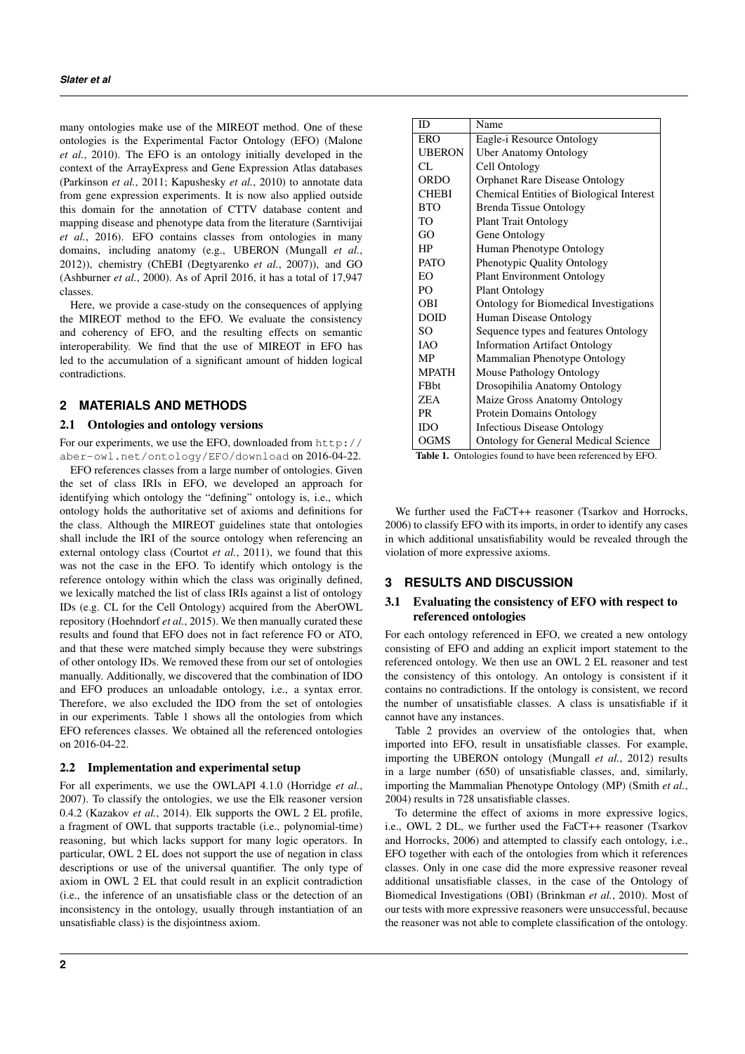many ontologies make use of the MIREOT method. One of these ontologies is the Experimental Factor Ontology (EFO) (Malone *et al.*, 2010). The EFO is an ontology initially developed in the context of the ArrayExpress and Gene Expression Atlas databases (Parkinson *et al.*, 2011; Kapushesky *et al.*, 2010) to annotate data from gene expression experiments. It is now also applied outside this domain for the annotation of CTTV database content and mapping disease and phenotype data from the literature (Sarntivijai *et al.*, 2016). EFO contains classes from ontologies in many domains, including anatomy (e.g., UBERON (Mungall *et al.*, 2012)), chemistry (ChEBI (Degtyarenko *et al.*, 2007)), and GO (Ashburner *et al.*, 2000). As of April 2016, it has a total of 17,947 classes.

Here, we provide a case-study on the consequences of applying the MIREOT method to the EFO. We evaluate the consistency and coherency of EFO, and the resulting effects on semantic interoperability. We find that the use of MIREOT in EFO has led to the accumulation of a significant amount of hidden logical contradictions.

# **2 MATERIALS AND METHODS**

#### 2.1 Ontologies and ontology versions

For our experiments, we use the EFO, downloaded from http:// aber-owl.net/ontology/EFO/download on 2016-04-22.

EFO references classes from a large number of ontologies. Given the set of class IRIs in EFO, we developed an approach for identifying which ontology the "defining" ontology is, i.e., which ontology holds the authoritative set of axioms and definitions for the class. Although the MIREOT guidelines state that ontologies shall include the IRI of the source ontology when referencing an external ontology class (Courtot *et al.*, 2011), we found that this was not the case in the EFO. To identify which ontology is the reference ontology within which the class was originally defined, we lexically matched the list of class IRIs against a list of ontology IDs (e.g. CL for the Cell Ontology) acquired from the AberOWL repository (Hoehndorf *et al.*, 2015). We then manually curated these results and found that EFO does not in fact reference FO or ATO, and that these were matched simply because they were substrings of other ontology IDs. We removed these from our set of ontologies manually. Additionally, we discovered that the combination of IDO and EFO produces an unloadable ontology, i.e., a syntax error. Therefore, we also excluded the IDO from the set of ontologies in our experiments. Table 1 shows all the ontologies from which EFO references classes. We obtained all the referenced ontologies on 2016-04-22.

#### 2.2 Implementation and experimental setup

For all experiments, we use the OWLAPI 4.1.0 (Horridge *et al.*, 2007). To classify the ontologies, we use the Elk reasoner version 0.4.2 (Kazakov *et al.*, 2014). Elk supports the OWL 2 EL profile, a fragment of OWL that supports tractable (i.e., polynomial-time) reasoning, but which lacks support for many logic operators. In particular, OWL 2 EL does not support the use of negation in class descriptions or use of the universal quantifier. The only type of axiom in OWL 2 EL that could result in an explicit contradiction (i.e., the inference of an unsatisfiable class or the detection of an inconsistency in the ontology, usually through instantiation of an unsatisfiable class) is the disjointness axiom.

| ID             | Name                                          |  |
|----------------|-----------------------------------------------|--|
| ERO            | Eagle-i Resource Ontology                     |  |
| <b>UBERON</b>  | <b>Uber Anatomy Ontology</b>                  |  |
| CL             | Cell Ontology                                 |  |
| ORDO           | Orphanet Rare Disease Ontology                |  |
| <b>CHEBI</b>   | Chemical Entities of Biological Interest      |  |
| <b>BTO</b>     | <b>Brenda Tissue Ontology</b>                 |  |
| TO             | <b>Plant Trait Ontology</b>                   |  |
| GO             | Gene Ontology                                 |  |
| HP             | Human Phenotype Ontology                      |  |
| <b>PATO</b>    | Phenotypic Quality Ontology                   |  |
| EΩ             | <b>Plant Environment Ontology</b>             |  |
| P <sub>O</sub> | <b>Plant Ontology</b>                         |  |
| <b>OBI</b>     | <b>Ontology for Biomedical Investigations</b> |  |
| <b>DOID</b>    | Human Disease Ontology                        |  |
| SO.            | Sequence types and features Ontology          |  |
| <b>TAO</b>     | <b>Information Artifact Ontology</b>          |  |
| MP             | Mammalian Phenotype Ontology                  |  |
| <b>MPATH</b>   | Mouse Pathology Ontology                      |  |
| <b>FB</b> bt   | Drosopihilia Anatomy Ontology                 |  |
| ZEA            | Maize Gross Anatomy Ontology                  |  |
| <b>PR</b>      | Protein Domains Ontology                      |  |
| IDO            | <b>Infectious Disease Ontology</b>            |  |
| OGMS           | <b>Ontology for General Medical Science</b>   |  |

Table 1. Ontologies found to have been referenced by EFO.

We further used the FaCT++ reasoner (Tsarkov and Horrocks, 2006) to classify EFO with its imports, in order to identify any cases in which additional unsatisfiability would be revealed through the violation of more expressive axioms.

# **3 RESULTS AND DISCUSSION**

# 3.1 Evaluating the consistency of EFO with respect to referenced ontologies

For each ontology referenced in EFO, we created a new ontology consisting of EFO and adding an explicit import statement to the referenced ontology. We then use an OWL 2 EL reasoner and test the consistency of this ontology. An ontology is consistent if it contains no contradictions. If the ontology is consistent, we record the number of unsatisfiable classes. A class is unsatisfiable if it cannot have any instances.

Table 2 provides an overview of the ontologies that, when imported into EFO, result in unsatisfiable classes. For example, importing the UBERON ontology (Mungall *et al.*, 2012) results in a large number (650) of unsatisfiable classes, and, similarly, importing the Mammalian Phenotype Ontology (MP) (Smith *et al.*, 2004) results in 728 unsatisfiable classes.

To determine the effect of axioms in more expressive logics, i.e., OWL 2 DL, we further used the FaCT++ reasoner (Tsarkov and Horrocks, 2006) and attempted to classify each ontology, i.e., EFO together with each of the ontologies from which it references classes. Only in one case did the more expressive reasoner reveal additional unsatisfiable classes, in the case of the Ontology of Biomedical Investigations (OBI) (Brinkman *et al.*, 2010). Most of our tests with more expressive reasoners were unsuccessful, because the reasoner was not able to complete classification of the ontology.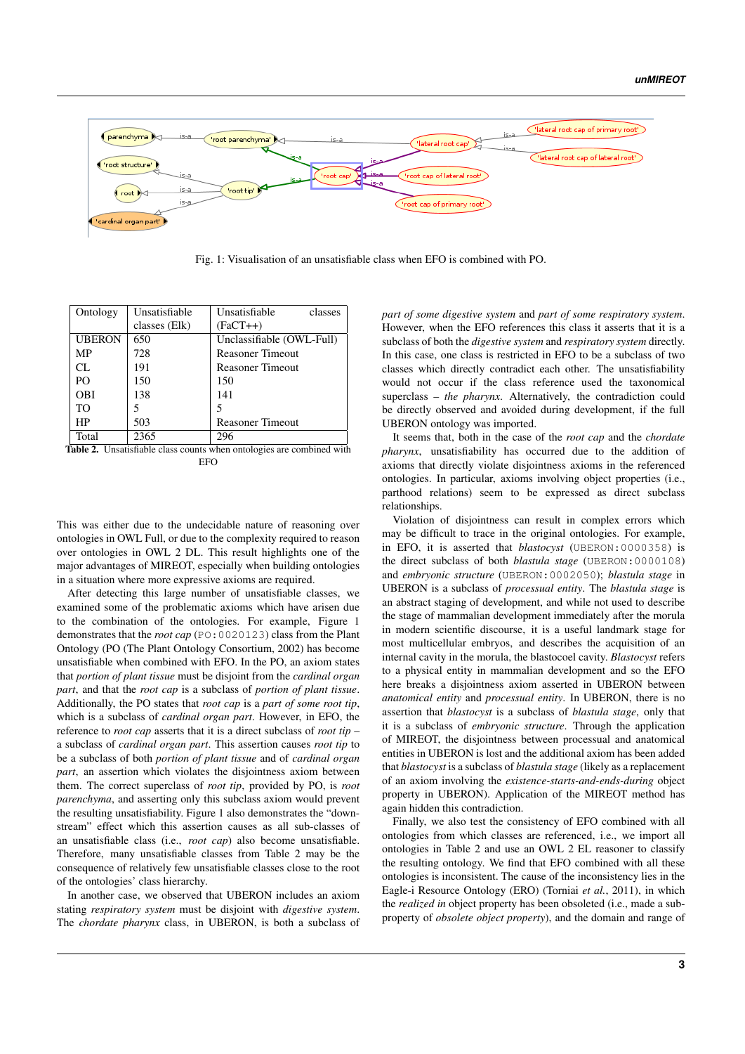

Fig. 1: Visualisation of an unsatisfiable class when EFO is combined with PO.

| Ontology      | Unsatisfiable | Unsatisfiable<br>classes  |
|---------------|---------------|---------------------------|
|               | classes (Elk) | $(FaCT++)$                |
| <b>UBERON</b> | 650           | Unclassifiable (OWL-Full) |
| MP            | 728           | <b>Reasoner Timeout</b>   |
| CL.           | 191           | <b>Reasoner Timeout</b>   |
| PO.           | 150           | 150                       |
| <b>OBI</b>    | 138           | 141                       |
| TO            |               | 5                         |
| HP            | 503           | <b>Reasoner Timeout</b>   |
| Total         | 2365          | 296                       |

Table 2. Unsatisfiable class counts when ontologies are combined with **EFO** 

This was either due to the undecidable nature of reasoning over ontologies in OWL Full, or due to the complexity required to reason over ontologies in OWL 2 DL. This result highlights one of the major advantages of MIREOT, especially when building ontologies in a situation where more expressive axioms are required.

After detecting this large number of unsatisfiable classes, we examined some of the problematic axioms which have arisen due to the combination of the ontologies. For example, Figure 1 demonstrates that the *root cap* (PO:0020123) class from the Plant Ontology (PO (The Plant Ontology Consortium, 2002) has become unsatisfiable when combined with EFO. In the PO, an axiom states that *portion of plant tissue* must be disjoint from the *cardinal organ part*, and that the *root cap* is a subclass of *portion of plant tissue*. Additionally, the PO states that *root cap* is a *part of some root tip*, which is a subclass of *cardinal organ part*. However, in EFO, the reference to *root cap* asserts that it is a direct subclass of *root tip* – a subclass of *cardinal organ part*. This assertion causes *root tip* to be a subclass of both *portion of plant tissue* and of *cardinal organ part*, an assertion which violates the disjointness axiom between them. The correct superclass of *root tip*, provided by PO, is *root parenchyma*, and asserting only this subclass axiom would prevent the resulting unsatisfiability. Figure 1 also demonstrates the "downstream" effect which this assertion causes as all sub-classes of an unsatisfiable class (i.e., *root cap*) also become unsatisfiable. Therefore, many unsatisfiable classes from Table 2 may be the consequence of relatively few unsatisfiable classes close to the root of the ontologies' class hierarchy.

In another case, we observed that UBERON includes an axiom stating *respiratory system* must be disjoint with *digestive system*. The *chordate pharynx* class, in UBERON, is both a subclass of *part of some digestive system* and *part of some respiratory system*. However, when the EFO references this class it asserts that it is a subclass of both the *digestive system* and *respiratory system* directly. In this case, one class is restricted in EFO to be a subclass of two classes which directly contradict each other. The unsatisfiability would not occur if the class reference used the taxonomical superclass – *the pharynx*. Alternatively, the contradiction could be directly observed and avoided during development, if the full UBERON ontology was imported.

It seems that, both in the case of the *root cap* and the *chordate pharynx*, unsatisfiability has occurred due to the addition of axioms that directly violate disjointness axioms in the referenced ontologies. In particular, axioms involving object properties (i.e., parthood relations) seem to be expressed as direct subclass relationships.

Violation of disjointness can result in complex errors which may be difficult to trace in the original ontologies. For example, in EFO, it is asserted that *blastocyst* (UBERON:0000358) is the direct subclass of both *blastula stage* (UBERON:0000108) and *embryonic structure* (UBERON:0002050); *blastula stage* in UBERON is a subclass of *processual entity*. The *blastula stage* is an abstract staging of development, and while not used to describe the stage of mammalian development immediately after the morula in modern scientific discourse, it is a useful landmark stage for most multicellular embryos, and describes the acquisition of an internal cavity in the morula, the blastocoel cavity. *Blastocyst* refers to a physical entity in mammalian development and so the EFO here breaks a disjointness axiom asserted in UBERON between *anatomical entity* and *processual entity*. In UBERON, there is no assertion that *blastocyst* is a subclass of *blastula stage*, only that it is a subclass of *embryonic structure*. Through the application of MIREOT, the disjointness between processual and anatomical entities in UBERON is lost and the additional axiom has been added that *blastocyst* is a subclass of *blastula stage* (likely as a replacement of an axiom involving the *existence-starts-and-ends-during* object property in UBERON). Application of the MIREOT method has again hidden this contradiction.

Finally, we also test the consistency of EFO combined with all ontologies from which classes are referenced, i.e., we import all ontologies in Table 2 and use an OWL 2 EL reasoner to classify the resulting ontology. We find that EFO combined with all these ontologies is inconsistent. The cause of the inconsistency lies in the Eagle-i Resource Ontology (ERO) (Torniai *et al.*, 2011), in which the *realized in* object property has been obsoleted (i.e., made a subproperty of *obsolete object property*), and the domain and range of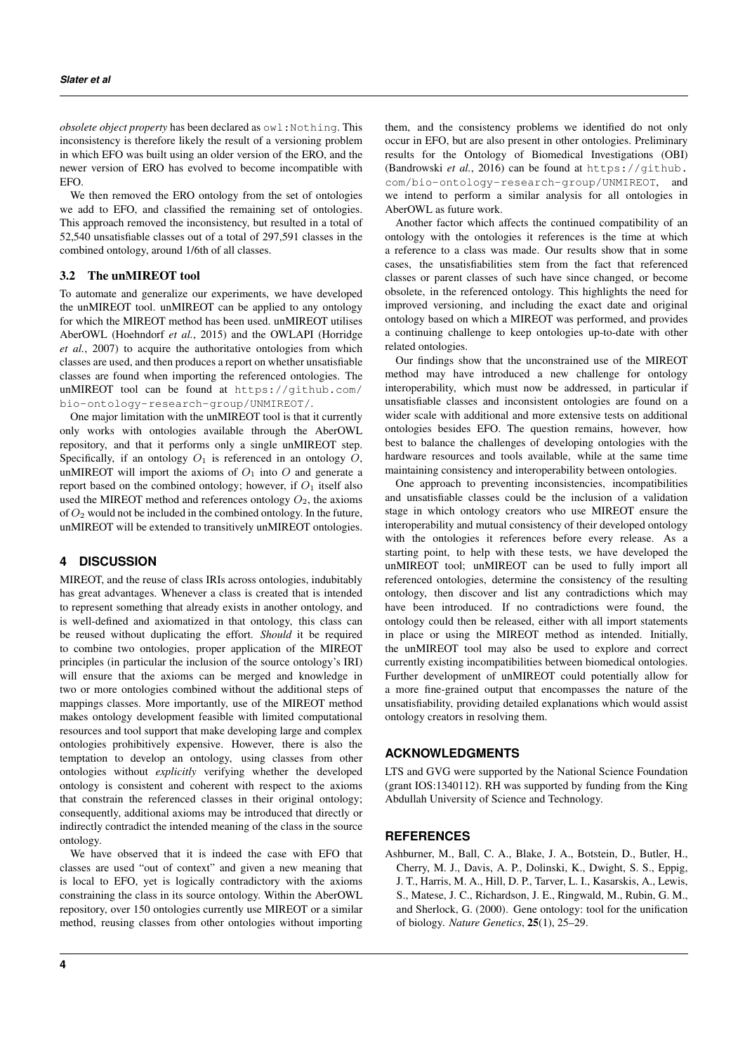*obsolete object property* has been declared as owl:Nothing. This inconsistency is therefore likely the result of a versioning problem in which EFO was built using an older version of the ERO, and the newer version of ERO has evolved to become incompatible with EFO.

We then removed the ERO ontology from the set of ontologies we add to EFO, and classified the remaining set of ontologies. This approach removed the inconsistency, but resulted in a total of 52,540 unsatisfiable classes out of a total of 297,591 classes in the combined ontology, around 1/6th of all classes.

## 3.2 The unMIREOT tool

To automate and generalize our experiments, we have developed the unMIREOT tool. unMIREOT can be applied to any ontology for which the MIREOT method has been used. unMIREOT utilises AberOWL (Hoehndorf *et al.*, 2015) and the OWLAPI (Horridge *et al.*, 2007) to acquire the authoritative ontologies from which classes are used, and then produces a report on whether unsatisfiable classes are found when importing the referenced ontologies. The unMIREOT tool can be found at https://github.com/ bio-ontology-research-group/UNMIREOT/.

One major limitation with the unMIREOT tool is that it currently only works with ontologies available through the AberOWL repository, and that it performs only a single unMIREOT step. Specifically, if an ontology  $O_1$  is referenced in an ontology  $O$ , unMIREOT will import the axioms of  $O_1$  into  $O$  and generate a report based on the combined ontology; however, if  $O_1$  itself also used the MIREOT method and references ontology  $O_2$ , the axioms of  $O_2$  would not be included in the combined ontology. In the future, unMIREOT will be extended to transitively unMIREOT ontologies.

# **4 DISCUSSION**

MIREOT, and the reuse of class IRIs across ontologies, indubitably has great advantages. Whenever a class is created that is intended to represent something that already exists in another ontology, and is well-defined and axiomatized in that ontology, this class can be reused without duplicating the effort. *Should* it be required to combine two ontologies, proper application of the MIREOT principles (in particular the inclusion of the source ontology's IRI) will ensure that the axioms can be merged and knowledge in two or more ontologies combined without the additional steps of mappings classes. More importantly, use of the MIREOT method makes ontology development feasible with limited computational resources and tool support that make developing large and complex ontologies prohibitively expensive. However, there is also the temptation to develop an ontology, using classes from other ontologies without *explicitly* verifying whether the developed ontology is consistent and coherent with respect to the axioms that constrain the referenced classes in their original ontology; consequently, additional axioms may be introduced that directly or indirectly contradict the intended meaning of the class in the source ontology.

We have observed that it is indeed the case with EFO that classes are used "out of context" and given a new meaning that is local to EFO, yet is logically contradictory with the axioms constraining the class in its source ontology. Within the AberOWL repository, over 150 ontologies currently use MIREOT or a similar method, reusing classes from other ontologies without importing them, and the consistency problems we identified do not only occur in EFO, but are also present in other ontologies. Preliminary results for the Ontology of Biomedical Investigations (OBI) (Bandrowski *et al.*, 2016) can be found at https://github. com/bio-ontology-research-group/UNMIREOT, and we intend to perform a similar analysis for all ontologies in AberOWL as future work.

Another factor which affects the continued compatibility of an ontology with the ontologies it references is the time at which a reference to a class was made. Our results show that in some cases, the unsatisfiabilities stem from the fact that referenced classes or parent classes of such have since changed, or become obsolete, in the referenced ontology. This highlights the need for improved versioning, and including the exact date and original ontology based on which a MIREOT was performed, and provides a continuing challenge to keep ontologies up-to-date with other related ontologies.

Our findings show that the unconstrained use of the MIREOT method may have introduced a new challenge for ontology interoperability, which must now be addressed, in particular if unsatisfiable classes and inconsistent ontologies are found on a wider scale with additional and more extensive tests on additional ontologies besides EFO. The question remains, however, how best to balance the challenges of developing ontologies with the hardware resources and tools available, while at the same time maintaining consistency and interoperability between ontologies.

One approach to preventing inconsistencies, incompatibilities and unsatisfiable classes could be the inclusion of a validation stage in which ontology creators who use MIREOT ensure the interoperability and mutual consistency of their developed ontology with the ontologies it references before every release. As a starting point, to help with these tests, we have developed the unMIREOT tool; unMIREOT can be used to fully import all referenced ontologies, determine the consistency of the resulting ontology, then discover and list any contradictions which may have been introduced. If no contradictions were found, the ontology could then be released, either with all import statements in place or using the MIREOT method as intended. Initially, the unMIREOT tool may also be used to explore and correct currently existing incompatibilities between biomedical ontologies. Further development of unMIREOT could potentially allow for a more fine-grained output that encompasses the nature of the unsatisfiability, providing detailed explanations which would assist ontology creators in resolving them.

## **ACKNOWLEDGMENTS**

LTS and GVG were supported by the National Science Foundation (grant IOS:1340112). RH was supported by funding from the King Abdullah University of Science and Technology.

# **REFERENCES**

Ashburner, M., Ball, C. A., Blake, J. A., Botstein, D., Butler, H., Cherry, M. J., Davis, A. P., Dolinski, K., Dwight, S. S., Eppig, J. T., Harris, M. A., Hill, D. P., Tarver, L. I., Kasarskis, A., Lewis, S., Matese, J. C., Richardson, J. E., Ringwald, M., Rubin, G. M., and Sherlock, G. (2000). Gene ontology: tool for the unification of biology. *Nature Genetics*, 25(1), 25–29.